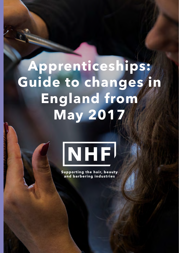# **Apprenticeships: Guide to changes in England from May 2017**



**Supporting the hair, beauty** and barbering industries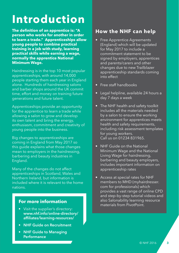## **Introduction**

**The definition of an apprentice is: "A person who works for another in order to learn a trade." Apprenticeships allow young people to combine practical training in a job with study, learning practical skills while earning a wage, normally the apprentice National Minimum Wage.**

Hairdressing is in the top 10 most popular apprenticeships, with around 14,000 people starting them each year in England alone. Hundreds of hairdressing salons and barber shops around the UK commit time, effort and money on training future generations and future talent.

Apprenticeships provide an opportunity for the apprentice to learn a trade while allowing a salon to grow and develop its own talent and bring the energy, enthusiasm, commitment and creativity of young people into the business.

Big changes to apprenticeships are coming in England from May 2017 so this guide explains what those changes mean to employers in the hairdressing, barbering and beauty industries in England.

Many of the changes do not affect apprenticeships in Scotland, Wales and Northern Ireland, but information is included where it is relevant to the home nations.

#### **For more information**

- Visit the supplier's directory: **[www.nhf.info/online-directory/](http://www.nhf.info/online-directory/affiliates/learning-resources) [affiliates/learning-resources/](http://www.nhf.info/online-directory/affiliates/learning-resources)**
- **• NHF Guide on [Recruitment](http://www.nhf.info/nhf-shop/)**
- **NHF** Guide to [Managing](http://www.nhf.info/nhf-shop/) **[Performance](http://www.nhf.info/nhf-shop/)**

## **How the NHF can help**

- Free Apprentice Agreements (England) which will be updated for May 2017 to include a commitment statement to be signed by employers, apprentices and parents/carers and other changes due to new Trailblazer apprenticeship standards coming into effect
- Free staff handbooks
- Legal helpline, available 24 hours a day 7 days a week
- The NHF health and safety toolkit includes all the materials needed by a salon to ensure the working environment for apprentices meets health and safety requirements, including risk assessment templates for young workers. Call us on 01234 831965.
- NHF Guide on the National Minimum Wage and the National Living Wage for hairdressing, barbering and beauty employers, includes important information on apprenticeship rates
- • Access at special rates for NHF members to MHD (myhairdresser. com for professionals) which provides a vast range of online CPD and step-by-step tutorial videos and also Salonability learning resource materials from PivotPoint.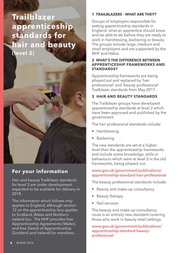## **Trailblazer apprenticeship standards for hair and beauty (level 2)**



## **For your information**

Hair and beauty Trailblazer standards for level 3 are under development, expected to be available for delivery in 2018.

The information which follows only applies to England, although section 12 on the apprenticeship levy applies to Scotland, Wales and Northern Ireland too. The NHF provides free Apprenticeship Agreements (Wales) and free Deeds of Apprenticeship (Scotland and Ireland) for members.

#### **1 Trailblazers - what are they?**

Groups of employers responsible for setting apprenticeship standards in England: what an apprentice should know and be able to do before they are ready to work in hairdressing, barbering or beauty. The groups include large, medium and small employers and are supported by the NHF and Habia.

#### **2 What's the difference between apprenticeship frameworks and stan dards?**

Apprenticeship frameworks are being phased out and replaced by 'hair professional' and 'beauty professional' Trailblazer standards from May 2017.

#### **3 HAIR AND BEAUTY STANDARDS**

The Trailblazer groups have developed apprenticeship standards at level 2 which have been approved and published by the government.

The hair professional standards include:

- • Hairdressing
- • Barbering

The new standards are set at a higher level than the apprenticeship frameworks and include some knowledge, skills or behaviours which were at level 3 in the old frameworks, being phased out.

#### **[www.gov.uk/government/publications/](http://www.gov.uk/government/publications/apprenticeship-standard-hair-professional) [apprenticeship-standard-hair-professional](http://www.gov.uk/government/publications/apprenticeship-standard-hair-professional)**

The beauty professional standards include:

- Beauty and make-up consultancy
- Beauty therapy
- Nail services

The beauty and make-up consultancy route is an entirely new standard covering those who work in beauty retail settings.

**[www.gov.uk/government/publications/](http://www.gov.uk/government/publications/apprenticeship-standard-beauty-professional) [apprenticeship-standard-beauty](http://www.gov.uk/government/publications/apprenticeship-standard-beauty-professional)[professional](http://www.gov.uk/government/publications/apprenticeship-standard-beauty-professional)**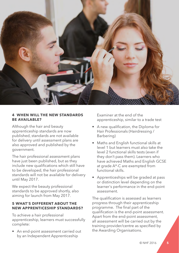

#### **4 WHEN WILL THE NEW STANDARDS be available?**

Although the hair and beauty apprenticeship standards are now published, standards are not available for delivery until assessment plans are also approved and published by the government.

The hair professional assessment plans have just been published, but as they include new qualifications which still have to be developed, the hair professional standards will not be available for delivery until May 2017.

We expect the beauty professional standards to be approved shortly, also aiming for launch from May 2017.

#### **5 What's different about the NEW APPRENTICESHIP STANDARDS?**

To achieve a hair professional apprenticeship, learners must successfully complete:

• An end-point assessment carried out by an Independent Apprenticeship

Examiner at the end of the apprenticeship, similar to a trade test

- • A new qualification, the Diploma for Hair Professionals (Hairdressing / Barbering)
- Maths and English functional skills at level 1 but learners must also take the level 2 functional skills tests (even if they don't pass them). Learners who have achieved Maths and English GCSE at grade A\*-C are exempted from functional skills.
- • Apprenticeships will be graded at pass or distinction level depending on the learner's performance in the end-point assessment.

The qualification is assessed as learners progress through their apprenticeship programme. The final part of the qualification is the end-point assessment. Apart from the end-point assessment, all assessment will be carried out by the training provider/centre as specified by the Awarding Organisations.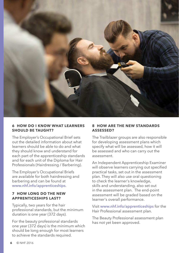

#### **6 How do I know what learners should be taught?**

The Employer's Occupational Brief sets out the detailed information about what learners should be able to do and what they should know and understand for each part of the apprenticeship standards and for each unit of the Diploma for Hair Professionals (Hairdressing / Barbering).

The Employer's Occupational Briefs are available for both hairdressing and barbering and can be found at **[www.nhf.info/apprenticeships](http://www.nhf.info/apprenticeships)**.

#### **7 How long do the new apprenticeships last?**

Typically, two years for the hair professional standards, but the minimum duration is one year (372 days).

For the beauty professional standards one year (372 days) is the minimum which should be long enough for most learners to achieve the standards required.

#### **8 HOW ARE THE NEW STANDARDS assessed?**

The Trailblazer groups are also responsible for developing assessment plans which specify what will be assessed, how it will be assessed and who can carry out the assessment.

An Independent Apprenticeship Examiner will observe learners carrying out specified practical tasks, set out in the assessment plan. They will also use oral questioning to check the learner's knowledge, skills and understanding, also set out in the assessment plan. The end-point assessment will be graded based on the learner's overall performance.

Visit **www.nhf.info/apprenticeships** for the Hair Professional assessment plan.

The Beauty Professional assessment plan has not yet been approved.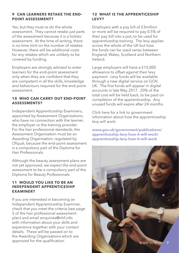#### **9 Can learners retake the endpoint assessment?**

Yes, but they must re-do the whole assessment. They cannot retake just parts of the assessment because it is a holistic assessment. At the time of writing, there is no time limit on the number of retakes. However, there will be additional costs for any retakes which are unlikely to be covered by funding.

Employers are strongly advised to enter learners for the end-point assessment only when they are confident that they are competent in all the skills, knowledge and behaviours required for the end-point assessment.

#### **10 Who can carry out end-point assessments?**

Independent Apprenticeship Examiners, appointed by Assessment Organisations, who have no connection with the learner. the employer or the training provider. For the hair professional standards, the Assessment Organisation must be an Awarding Organisation, regulated by Ofqual, because the end-point assessment is a compulsory part of the Diploma for Hair Professionals.

Although the beauty assessment plans are not yet approved, we expect the end-point assessment to be a compulsory part of the Diploma for Beauty Professionals.

#### **11 Would you like to be an Independent Apprenticeship Examiner?**

If you are interested in becoming an Independent Apprenticeship Examiner, check that you meet the criteria (see page 5 of the hair professional assessment plan) and email enquiries@nhf.info with information about your skills and experience together with your contact details. These will be passed on to the Awarding Organisations which are approved for the qualification.

#### **12 What is the apprenticeship levy?**

Employers with a pay bill of £3million or more will be required to pay 0.5% of their pay bill into a pot, to be used for apprenticeship training. The levy applies across the whole of the UK but how the funds can be used varies between England, Wales, Scotland and Northern Ireland.

Large employers will have a £15,000 allowance to offset against their levy payment. Levy funds will be available through a new digital service on GOV. UK. The first funds will appear in digital accounts in late May 2017. 20% of the total cost will be held back, to be paid on completion of the apprenticeship. Any unused funds will expire after 24 months.

Click here for a link to government information about how the apprenticeship levy will work:

**[www.gov.uk/government/publications/](http://www.gov.uk/government/publications/apprenticeship-levy-how-it-will-work/apprenticeship-levy-how-it-will-work) [apprenticeship-levy-how-it-will-work/](http://www.gov.uk/government/publications/apprenticeship-levy-how-it-will-work/apprenticeship-levy-how-it-will-work) [apprenticeship-levy-how-it-will-work](http://www.gov.uk/government/publications/apprenticeship-levy-how-it-will-work/apprenticeship-levy-how-it-will-work)**

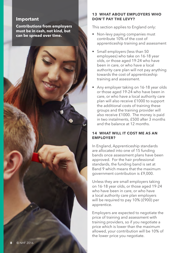#### **Important**

**Contributions from employers must be in cash, not kind, but can be spread over time.**

#### **13 What about employers who don't pay the levy?**

This section applies to England only:

- Non-levy paying companies must contribute 10% of the cost of apprenticeship training and assessment
- Small employers (less than 50 employees) who take on 16-18 year olds, or those aged 19-24 who have been in care, or who have a local authority care plan will not pay anything towards the cost of apprenticeship training and assessment.
- Any employer taking on 16-18 year olds or those aged 19-24 who have been in care, or who have a local authority care plan will also receive £1000 to support the additional costs of training these groups and the training provider will also receive £1000. The money is paid in two instalments, £500 after 3 months and the balance at 12 months.

#### **14 What will it cost me as an employer?**

In England, Apprenticeship standards are allocated into one of 15 funding bands once assessment plans have been approved. For the hair professional standards, the funding band is set at Band 9 which means that the maximum government contribution is £9,000.

Unless they are small employers taking on 16-18 year olds, or those aged 19-24 who have been in care, or who have a local authority care plan employers will be required to pay 10% (£900) per apprentice.

Employers are expected to negotiate the price of training and assessment with training providers, so if you negotiate a price which is lower than the maximum allowed, your contribution will be 10% of the lower price you negotiate.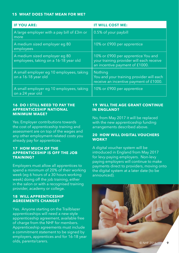#### **15 What does that mean for me?**

| <b>IF YOU ARE:</b>                                                     | <b>IT WILL COST ME:</b>                                                                                          |
|------------------------------------------------------------------------|------------------------------------------------------------------------------------------------------------------|
| A large employer with a pay bill of £3m or<br>more                     | 0.5% of your paybill                                                                                             |
| A medium sized employer eg 80<br>employees                             | 10% or £900 per apprentice                                                                                       |
| A medium sized employer eg 80<br>employees, taking on a 16-18 year old | 10% or £900 per apprentice You and<br>your training provider will each receive<br>an incentive payment of £1000. |
| A small employer eg 10 employees, taking<br>on a 16-18 year old        | Nothing<br>You and your training provider will each<br>receive an incentive payment of £1000.                    |
| A small employer eg 10 employees, taking<br>on a 24 year old           | 10% or £900 per apprentice                                                                                       |

#### **16 Do I still need to pay the apprenticeship National Minimum Wage ?**

Yes. Employer contributions towards the cost of apprenticeship training and assessment are on top of the wages and any other employment-related costs you already pay for apprentices.

#### **17 How much of the apprenticeship is off the job training?**

Employers must allow all apprentices to spend a minimum of 20% of their working week (eg 6 hours of a 30 hours working week) doing off the job training, either in the salon or with a recognised training provider, academy or college.

#### **18 Will apprenticeship ag reements change?**

Yes. Anyone starting on the Trailblazer apprenticeships will need a new-style apprenticeship agreement, available free of charge from the NHF for members. Apprenticeship agreements must include a commitment statement to be signed by employers, apprentices and for 16-18 year olds, parents/carers.

#### **19 Will the AGE grant continue in England?**

No, from May 2017 it will be replaced with the new apprenticeship funding arrangements described above.

#### **20 How will digital vouchers work?**

A digital voucher system will be introduced in England from May 2017 for levy-paying employers. Non-levy paying employers will continue to make payments direct to providers, moving onto the digital system at a later date (to be announced).

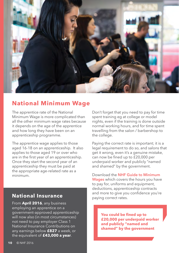

## **National Minimum Wage**

The apprentice rate of the National Minimum Wage is more complicated than all the other minimum wage rates because it depends on the age of the apprentice and how long they have been on an apprenticeship programme.

The apprentice wage applies to those aged 16-18 on an apprenticeship. It also applies to those aged 19 or over who are in the first year of an apprenticeship. Once they start the second year of an apprenticeship they must be paid at the appropriate age-related rate as a minimum.

### **National Insurance**

From **April 2016**, any business employing an apprentice on a government-approved apprenticeship will now also (in most circumstances) not need to pay employer Class 1 National Insurance Contributions on any earnings below **£827** a week, or the equivalent of **£43,000 a year**.

Don't forget that you need to pay for time spent training eg at college or model nights, even if the training is done outside normal working hours, and for time spent travelling from the salon / barbershop to the college.

Paying the correct rate is important; it is a legal requirement to do so, and salons that get it wrong, even it's a genuine mistake, can now be fined up to £20,000 per underpaid worker and publicly "named and shamed" by the government.

Download the **NHF Guide to [Minimum](http://www.nhf.info/nhf-shop/) [Wages](http://www.nhf.info/nhf-shop/)** which covers the hours you have to pay for, uniforms and equipment, [deductions, apprenticeship contracts](http://www.nhf.info/nhf-shop/)  and more to give you confidence you're paying correct rates.

> **You could be fined up to £20,000 per underpaid worker and publicly "named and shamed" by the government**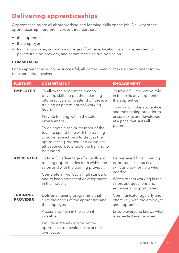## **Delivering apprenticeships**

Apprenticeships are all about working and learning skills on the job. Delivery of the apprenticeship therefore involves three partners:

- the apprentice
- the employer
- training provider, normally a college of further education or an independent or private training provider, and sometimes also run by a salon.

#### **COMMITMENT**

For an apprenticeship to be successful, all parties need to make a commitment to the time and effort involved.

| <b>PARTNER</b>                     | <b>COMMITMENT</b>                                                                                                                                                                                                                     | <b>ENGAGEMENT</b>                                                                                                                                                                                                        |
|------------------------------------|---------------------------------------------------------------------------------------------------------------------------------------------------------------------------------------------------------------------------------------|--------------------------------------------------------------------------------------------------------------------------------------------------------------------------------------------------------------------------|
| <b>EMPLOYER</b>                    | To allow the apprentice time to<br>develop skills, to put their learning<br>into practice and to attend off the job<br>training as part of normal working<br>hours.<br>Provide training within the salon                              | To take a full and active role<br>in the skills development of<br>the apprentice.<br>To work with the apprentice<br>and the training provider to<br>ensure skills are developed<br>at a pace that suits all<br>partners. |
|                                    | environment.<br>To delegate a senior member of the<br>team to spend time with the training<br>provider at each visit to discuss the<br>apprentice's progress and complete<br>all paperwork to enable the training to<br>be funded.    |                                                                                                                                                                                                                          |
| <b>APPRENTICE</b>                  | To take full advantage of all skills and<br>training opportunities both within the<br>salon and with the training provider.<br>Complete all work to a high standard<br>and to keep abreast of developments<br>in the industry         | Be prepared for all training<br>opportunities, practice<br>skills and ask for help when<br>needed.<br>Watch others working in the<br>salon, ask questions and<br>embrace all opportunities.                              |
| <b>TRAINING</b><br><b>PROVIDER</b> | Deliver a training programme that<br>suits the needs of the apprentice and<br>the employer.<br>Assess and train in the salon if<br>possible.<br>Provide materials to enable the<br>apprentice to develop skills at their<br>own pace. | Communicate regularly and<br>effectively with the employer<br>and apprentice.<br>Ensure everyone knows what<br>is expected and by when.                                                                                  |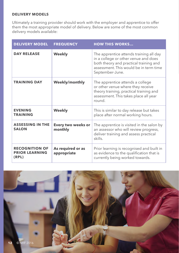#### **Delivery Models**

Ultimately a training provider should work with the employer and apprentice to offer them the most appropriate model of delivery. Below are some of the most common delivery models available:

| <b>DELIVERY MODEL</b>                                   | <b>FREQUENCY</b>                 | <b>HOW THIS WORKS</b>                                                                                                                                                                  |
|---------------------------------------------------------|----------------------------------|----------------------------------------------------------------------------------------------------------------------------------------------------------------------------------------|
| <b>DAY RELEASE</b>                                      | <b>Weekly</b>                    | The apprentice attends training all day<br>in a college or other venue and does<br>both theory and practical training and<br>assessment. This would be in term time<br>September-June. |
| <b>TRAINING DAY</b>                                     | Weekly/monthly                   | The apprentice attends a college<br>or other venue where they receive<br>theory training, practical training and<br>assessment. This takes place all year<br>round.                    |
| <b>EVENING</b><br><b>TRAINING</b>                       | <b>Weekly</b>                    | This is similar to day release but takes<br>place after normal working hours.                                                                                                          |
| <b>ASSESSING IN THE</b><br><b>SALON</b>                 | Every two weeks or<br>monthly    | The apprentice is visited in the salon by<br>an assessor who will review progress,<br>deliver training and assess practical<br>skills.                                                 |
| <b>RECOGNITION OF</b><br><b>PRIOR LEARNING</b><br>(RPL) | As required or as<br>appropriate | Prior learning is recognised and built in<br>as evidence to the qualification that is<br>currently being worked towards.                                                               |

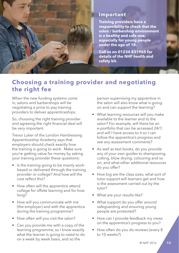

#### **Important**

**Training providers have a responsibility to check that the salon / barbershop environment is a healthy and safe one, especially for young people under the age of 18.**

**Call us on 01234 831965 for details of the NHF health and safety kit.**

## **Choosing a training provider and negotiating the right fee**

When the new funding systems come in, salons and barbershops will be negotiating a price to pay training providers to deliver apprenticeships.

So, choosing the right training provider and agreeing the right financial deal will be very important.

Trevor Luker of the London Hairdressing Apprenticeship Academy says that employers should check exactly how the training is going to work. Make sure you're getting value for money by asking your training provider these questions:

- Is the training going to be mainly workbased or delivered through the training provider or college? And how will the cost reflect this?
- How often will the apprentice attend college for offsite learning and for how long?
- How will you communicate with me (the employer) and with the apprentice during the training programme?
- How often will you visit the salon?
- Can you provide me with a copy of the learning programme, so I know exactly what the learner is going to need to do on a week by week basis, and so the

person supervising my apprentice in the salon will also know what is going on and can support the learning?

- What learning resources will you make available to the learner and to the salon? For example, will there be an e-portfolio that can be accessed 24/7, and will I have access to it so I can follow the apprentice's progress and see any assessment comments?
- As well as text books, do you provide any of your own guides to shampooing, cutting, blow drying, colouring and so on, and what other additional resources do you offer?
- How big are the class sizes, what sort of tutor support will learners get and how is the assessment carried out by the tutor?
- What are your results like?
- What support do you offer around safeguarding and ensuring young people are protected?
- How can I provide feedback my views on the apprentice's progress to you?
- How often do you do reviews (every 8 to 10 weeks?)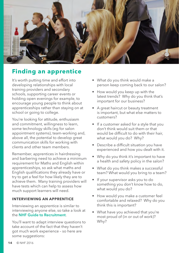

## **Finding an apprentice**

It's worth putting time and effort into developing relationships with local training providers and secondary schools, supporting career events or holding open evenings for example, to encourage young people to think about apprenticeships rather than staying on at school or going to college.

You're looking for attitude, enthusiasm and commitment, willingness to learn, some technology skills (eg for salon appointment systems), team-working and, above all, the potential to develop great communication skills for working with clients and other team members.

Remember, apprentices in hairdressing and barbering need to achieve a minimum requirement for Maths and English within apprenticeships, so ask what maths and English qualifications they already have or try to get a feel for how likely they are to achieve them. Many training providers will have tests which can help to assess how much support learners will need.

#### **Interviewing an apprentice**

Interviewing an apprentice is similar to interviewing anyone else, so take a look at the **NHF Guide to [Recruitment](http://www.nhf.info/nhf-shop/)**.

You'll want to adapt interview questions to take account of the fact that they haven't got much work experience – so here are some suggestions:

- What do you think would make a person keep coming back to our salon?
- How would you keep up with the latest trends? Why do you think that's important for our business?
- A great haircut or beauty treatment is important, but what else matters to customers?
- If a customer asked for a style that you don't think would suit them or that would be difficult to do with their hair, what would you do? Why?
- Describe a difficult situation you have experienced and how you dealt with it.
- Why do you think it's important to have a health and safety policy in the salon?
- What do you think makes a successful team? What would you bring to a team?
- If your supervisor asks you to do something you don't know how to do, what would you do?
- How would you make a customer feel comfortable and relaxed? Why do you think this is important?
- What have you achieved that you're most proud of (in or out of work)? Why?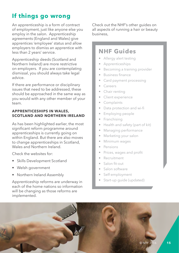## **If things go wrong**

An apprenticeship is a form of contract of employment, just like anyone else you employ in the salon. Apprenticeship agreements (England and Wales) give apprentices 'employee' status and allow employers to dismiss an apprentice with less than 2 years' service.

Apprenticeship deeds (Scotland and Northern Ireland) are more restrictive on employers. If you are contemplating dismissal, you should always take legal advice.

If there are performance or disciplinary issues that need to be addressed, these should be approached in the same way as you would with any other member of your team.

#### **APPRENTICESHIPS IN WALES, SCOTLAND AND NORTHERN IRELAND**

As has been highlighted earlier, the most significant reform programme around apprenticeships is currently going on within England. But there are also moves to change apprenticeships in Scotland, Wales and Northern Ireland

Check the websites for:

- Skills Development Scotland
- • Welsh government
- Northern Ireland Assembly

Apprenticeship reforms are underway in each of the home nations so information will be changing as those reforms are implemented.

Check out the NHF's other guides on all aspects of running a hair or beauty business,

## **NHF Guides**

- Allergy alert testing
- **Apprenticeships**
- Becoming a training provider
- Business finance
- Card payment processing
- Careers
- Chair renting
- Client experience
- **Complaints**
- Data protection and wi-fi
- Employing people
- Franchising
- Health and safety (part of kit)
- Managing performance
- Marketing your salon
- Minimum wages
- **Pensions**
- Prices, wages and profit
- • Recruitment
- • Salon fit-out
- Salon software
- Self-employment
- Start-up quide (updated)